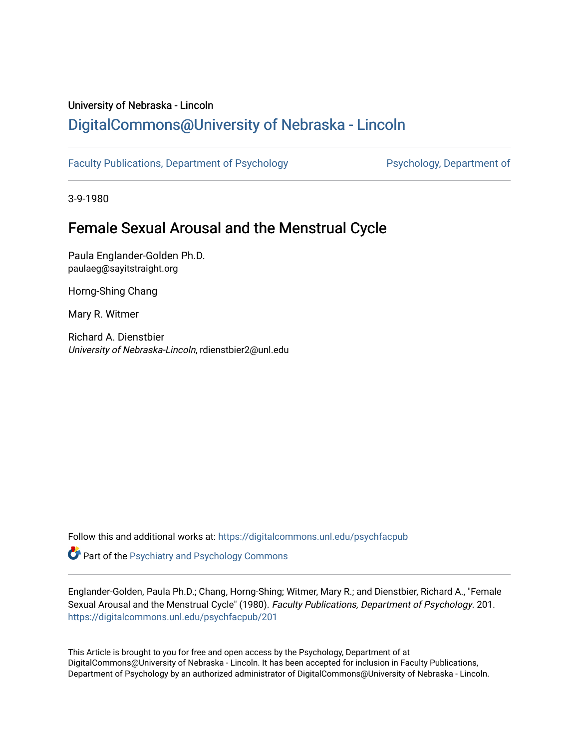## University of Nebraska - Lincoln [DigitalCommons@University of Nebraska - Lincoln](https://digitalcommons.unl.edu/)

[Faculty Publications, Department of Psychology](https://digitalcommons.unl.edu/psychfacpub) Psychology, Department of

3-9-1980

## Female Sexual Arousal and the Menstrual Cycle

Paula Englander-Golden Ph.D. paulaeg@sayitstraight.org

Horng-Shing Chang

Mary R. Witmer

Richard A. Dienstbier University of Nebraska-Lincoln, rdienstbier2@unl.edu

Follow this and additional works at: [https://digitalcommons.unl.edu/psychfacpub](https://digitalcommons.unl.edu/psychfacpub?utm_source=digitalcommons.unl.edu%2Fpsychfacpub%2F201&utm_medium=PDF&utm_campaign=PDFCoverPages) 

**Part of the Psychiatry and Psychology Commons** 

Englander-Golden, Paula Ph.D.; Chang, Horng-Shing; Witmer, Mary R.; and Dienstbier, Richard A., "Female Sexual Arousal and the Menstrual Cycle" (1980). Faculty Publications, Department of Psychology. 201. [https://digitalcommons.unl.edu/psychfacpub/201](https://digitalcommons.unl.edu/psychfacpub/201?utm_source=digitalcommons.unl.edu%2Fpsychfacpub%2F201&utm_medium=PDF&utm_campaign=PDFCoverPages) 

This Article is brought to you for free and open access by the Psychology, Department of at DigitalCommons@University of Nebraska - Lincoln. It has been accepted for inclusion in Faculty Publications, Department of Psychology by an authorized administrator of DigitalCommons@University of Nebraska - Lincoln.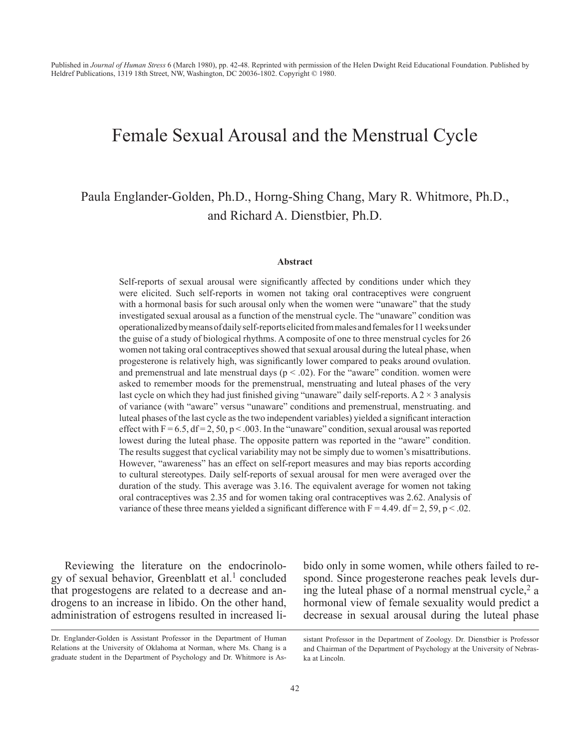# Female Sexual Arousal and the Menstrual Cycle

### Paula Englander-Golden, Ph.D., Horng-Shing Chang, Mary R. Whitmore, Ph.D., and Richard A. Dienstbier, Ph.D.

#### **Abstract**

Self-reports of sexual arousal were significantly affected by conditions under which they were elicited. Such self-reports in women not taking oral contraceptives were congruent with a hormonal basis for such arousal only when the women were "unaware" that the study investigated sexual arousal as a function of the menstrual cycle. The "unaware" condition was operationalized by means of daily self-reports elicited from males and females for 11 weeks under the guise of a study of biological rhythms. A composite of one to three menstrual cycles for 26 women not taking oral contraceptives showed that sexual arousal during the luteal phase, when progesterone is relatively high, was significantly lower compared to peaks around ovulation. and premenstrual and late menstrual days ( $p < .02$ ). For the "aware" condition. women were asked to remember moods for the premenstrual, menstruating and luteal phases of the very last cycle on which they had just finished giving "unaware" daily self-reports. A  $2 \times 3$  analysis of variance (with "aware" versus "unaware" conditions and premenstrual, menstruating. and luteal phases of the last cycle as the two independent variables) yielded a significant interaction effect with  $F = 6.5$ ,  $df = 2$ ,  $50$ ,  $p < .003$ . In the "unaware" condition, sexual arousal was reported lowest during the luteal phase. The opposite pattern was reported in the "aware" condition. The results suggest that cyclical variability may not be simply due to women's misattributions. However, "awareness" has an effect on self-report measures and may bias reports according to cultural stereotypes. Daily self-reports of sexual arousal for men were averaged over the duration of the study. This average was 3.16. The equivalent average for women not taking oral contraceptives was 2.35 and for women taking oral contraceptives was 2.62. Analysis of variance of these three means yielded a significant difference with  $F = 4.49$ . df = 2, 59, p < .02.

Reviewing the literature on the endocrinology of sexual behavior, Greenblatt et al.<sup>1</sup> concluded that progestogens are related to a decrease and androgens to an increase in libido. On the other hand, administration of estrogens resulted in increased libido only in some women, while others failed to respond. Since progesterone reaches peak levels during the luteal phase of a normal menstrual cycle,<sup>2</sup> a hormonal view of female sexuality would predict a decrease in sexual arousal during the luteal phase

Dr. Englander-Golden is Assistant Professor in the Department of Human Relations at the University of Oklahoma at Norman, where Ms. Chang is a graduate student in the Department of Psychology and Dr. Whitmore is As-

sistant Professor in the Department of Zoology. Dr. Dienstbier is Professor and Chairman of the Department of Psychology at the University of Nebraska at Lincoln.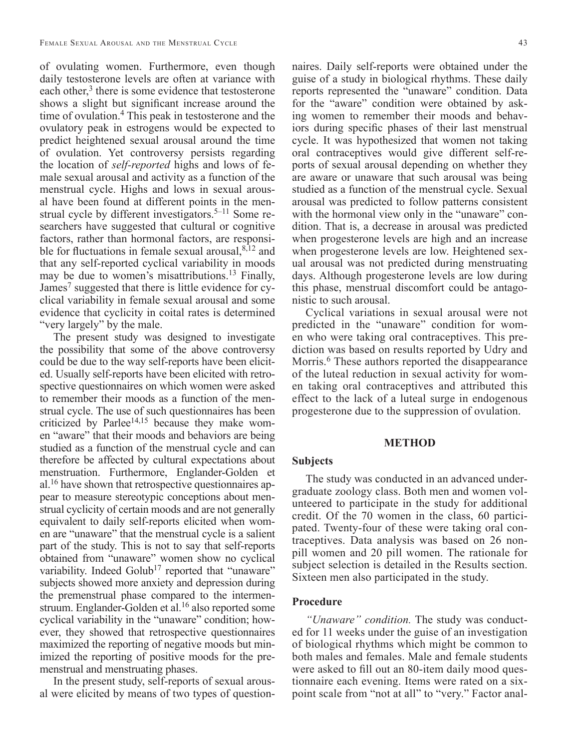of ovulating women. Furthermore, even though daily testosterone levels are often at variance with each other, $3$  there is some evidence that testosterone shows a slight but significant increase around the time of ovulation.<sup>4</sup> This peak in testosterone and the ovulatory peak in estrogens would be expected to predict heightened sexual arousal around the time of ovulation. Yet controversy persists regarding the location of *self-reported* highs and lows of female sexual arousal and activity as a function of the menstrual cycle. Highs and lows in sexual arousal have been found at different points in the menstrual cycle by different investigators.<sup>5–11</sup> Some researchers have suggested that cultural or cognitive factors, rather than hormonal factors, are responsible for fluctuations in female sexual arousal, $8,12$  and that any self-reported cyclical variability in moods may be due to women's misattributions.<sup>13</sup> Finally, James<sup>7</sup> suggested that there is little evidence for cyclical variability in female sexual arousal and some evidence that cyclicity in coital rates is determined "very largely" by the male.

The present study was designed to investigate the possibility that some of the above controversy could be due to the way self-reports have been elicited. Usually self-reports have been elicited with retrospective questionnaires on which women were asked to remember their moods as a function of the menstrual cycle. The use of such questionnaires has been criticized by Parlee<sup>14,15</sup> because they make women "aware" that their moods and behaviors are being studied as a function of the menstrual cycle and can therefore be affected by cultural expectations about menstruation. Furthermore, Englander-Golden et al.16 have shown that retrospective questionnaires appear to measure stereotypic conceptions about menstrual cyclicity of certain moods and are not generally equivalent to daily self-reports elicited when women are "unaware" that the menstrual cycle is a salient part of the study. This is not to say that self-reports obtained from "unaware" women show no cyclical variability. Indeed Golub<sup>17</sup> reported that "unaware" subjects showed more anxiety and depression during the premenstrual phase compared to the intermenstruum. Englander-Golden et al.<sup>16</sup> also reported some cyclical variability in the "unaware" condition; however, they showed that retrospective questionnaires maximized the reporting of negative moods but minimized the reporting of positive moods for the premenstrual and menstruating phases.

In the present study, self-reports of sexual arousal were elicited by means of two types of questionnaires. Daily self-reports were obtained under the guise of a study in biological rhythms. These daily reports represented the "unaware" condition. Data for the "aware" condition were obtained by asking women to remember their moods and behaviors during specific phases of their last menstrual cycle. It was hypothesized that women not taking oral contraceptives would give different self-reports of sexual arousal depending on whether they are aware or unaware that such arousal was being studied as a function of the menstrual cycle. Sexual arousal was predicted to follow patterns consistent with the hormonal view only in the "unaware" condition. That is, a decrease in arousal was predicted when progesterone levels are high and an increase when progesterone levels are low. Heightened sexual arousal was not predicted during menstruating days. Although progesterone levels are low during this phase, menstrual discomfort could be antagonistic to such arousal.

Cyclical variations in sexual arousal were not predicted in the "unaware" condition for women who were taking oral contraceptives. This prediction was based on results reported by Udry and Morris.<sup>6</sup> These authors reported the disappearance of the luteal reduction in sexual activity for women taking oral contraceptives and attributed this effect to the lack of a luteal surge in endogenous progesterone due to the suppression of ovulation.

#### **METHOD**

#### **Subjects**

The study was conducted in an advanced undergraduate zoology class. Both men and women volunteered to participate in the study for additional credit. Of the 70 women in the class, 60 participated. Twenty-four of these were taking oral contraceptives. Data analysis was based on 26 nonpill women and 20 pill women. The rationale for subject selection is detailed in the Results section. Sixteen men also participated in the study.

#### **Procedure**

*"Unaware" condition.* The study was conducted for 11 weeks under the guise of an investigation of biological rhythms which might be common to both males and females. Male and female students were asked to fill out an 80-item daily mood questionnaire each evening. Items were rated on a sixpoint scale from "not at all" to "very." Factor anal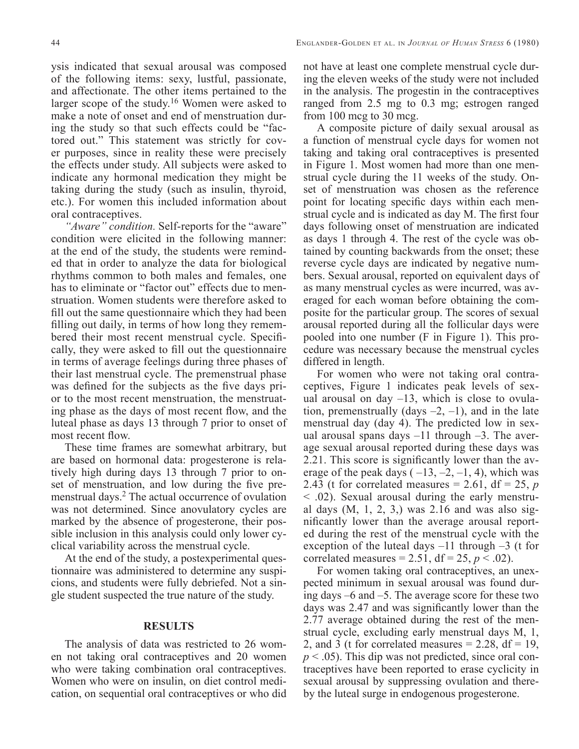ysis indicated that sexual arousal was composed of the following items: sexy, lustful, passionate, and affectionate. The other items pertained to the larger scope of the study.16 Women were asked to make a note of onset and end of menstruation during the study so that such effects could be "factored out." This statement was strictly for cover purposes, since in reality these were precisely the effects under study. All subjects were asked to indicate any hormonal medication they might be taking during the study (such as insulin, thyroid, etc.). For women this included information about oral contraceptives.

*"Aware" condition.* Self-reports for the "aware" condition were elicited in the following manner: at the end of the study, the students were reminded that in order to analyze the data for biological rhythms common to both males and females, one has to eliminate or "factor out" effects due to menstruation. Women students were therefore asked to fill out the same questionnaire which they had been filling out daily, in terms of how long they remembered their most recent menstrual cycle. Specifically, they were asked to fill out the questionnaire in terms of average feelings during three phases of their last menstrual cycle. The premenstrual phase was defined for the subjects as the five days prior to the most recent menstruation, the menstruating phase as the days of most recent flow, and the luteal phase as days 13 through 7 prior to onset of most recent flow.

These time frames are somewhat arbitrary, but are based on hormonal data: progesterone is relatively high during days 13 through 7 prior to onset of menstruation, and low during the five premenstrual days.<sup>2</sup> The actual occurrence of ovulation was not determined. Since anovulatory cycles are marked by the absence of progesterone, their possible inclusion in this analysis could only lower cyclical variability across the menstrual cycle.

At the end of the study, a postexperimental questionnaire was administered to determine any suspicions, and students were fully debriefed. Not a single student suspected the true nature of the study.

#### **RESULTS**

The analysis of data was restricted to 26 women not taking oral contraceptives and 20 women who were taking combination oral contraceptives. Women who were on insulin, on diet control medication, on sequential oral contraceptives or who did not have at least one complete menstrual cycle during the eleven weeks of the study were not included in the analysis. The progestin in the contraceptives ranged from 2.5 mg to 0.3 mg; estrogen ranged from 100 mcg to 30 mcg.

A composite picture of daily sexual arousal as a function of menstrual cycle days for women not taking and taking oral contraceptives is presented in Figure 1. Most women had more than one menstrual cycle during the 11 weeks of the study. Onset of menstruation was chosen as the reference point for locating specific days within each menstrual cycle and is indicated as day M. The first four days following onset of menstruation are indicated as days 1 through 4. The rest of the cycle was obtained by counting backwards from the onset; these reverse cycle days are indicated by negative numbers. Sexual arousal, reported on equivalent days of as many menstrual cycles as were incurred, was averaged for each woman before obtaining the composite for the particular group. The scores of sexual arousal reported during all the follicular days were pooled into one number (F in Figure 1). This procedure was necessary because the menstrual cycles differed in length.

For women who were not taking oral contraceptives, Figure 1 indicates peak levels of sexual arousal on day  $-13$ , which is close to ovulation, premenstrually (days  $-2$ ,  $-1$ ), and in the late menstrual day (day 4). The predicted low in sexual arousal spans days  $-11$  through  $-3$ . The average sexual arousal reported during these days was 2.21. This score is significantly lower than the average of the peak days  $(-13, -2, -1, 4)$ , which was 2.43 (t for correlated measures  $= 2.61$ , df  $= 25$ , p < .02). Sexual arousal during the early menstrual days (M, 1, 2, 3,) was 2.16 and was also significantly lower than the average arousal reported during the rest of the menstrual cycle with the exception of the luteal days  $-11$  through  $-3$  (t for correlated measures = 2.51,  $df = 25$ ,  $p < .02$ ).

For women taking oral contraceptives, an unexpected minimum in sexual arousal was found during days –6 and –5. The average score for these two days was 2.47 and was significantly lower than the 2.77 average obtained during the rest of the menstrual cycle, excluding early menstrual days M, 1, 2, and 3 (t for correlated measures  $= 2.28$ , df  $= 19$ ,  $p < .05$ ). This dip was not predicted, since oral contraceptives have been reported to erase cyclicity in sexual arousal by suppressing ovulation and thereby the luteal surge in endogenous progesterone.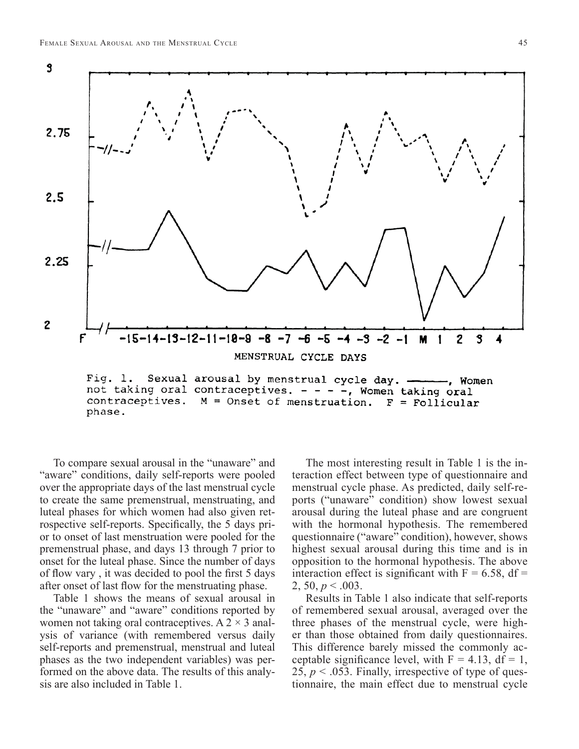

phase.

To compare sexual arousal in the "unaware" and "aware" conditions, daily self-reports were pooled over the appropriate days of the last menstrual cycle to create the same premenstrual, menstruating, and luteal phases for which women had also given retrospective self-reports. Specifically, the 5 days prior to onset of last menstruation were pooled for the premenstrual phase, and days 13 through 7 prior to onset for the luteal phase. Since the number of days of flow vary, it was decided to pool the first 5 days after onset of last flow for the menstruating phase.

Table 1 shows the means of sexual arousal in the "unaware" and "aware" conditions reported by women not taking oral contraceptives. A  $2 \times 3$  analysis of variance (with remembered versus daily self-reports and premenstrual, menstrual and luteal phases as the two independent variables) was performed on the above data. The results of this analysis are also included in Table 1.

The most interesting result in Table 1 is the interaction effect between type of questionnaire and menstrual cycle phase. As predicted, daily self-reports ("unaware" condition) show lowest sexual arousal during the luteal phase and are congruent with the hormonal hypothesis. The remembered questionnaire ("aware" condition), however, shows highest sexual arousal during this time and is in opposition to the hormonal hypothesis. The above interaction effect is significant with  $F = 6.58$ , df = 2, 50,  $p < .003$ .

Results in Table 1 also indicate that self-reports of remembered sexual arousal, averaged over the three phases of the menstrual cycle, were higher than those obtained from daily questionnaires. This difference barely missed the commonly acceptable significance level, with  $F = 4.13$ , df = 1, 25,  $p < .053$ . Finally, irrespective of type of questionnaire, the main effect due to menstrual cycle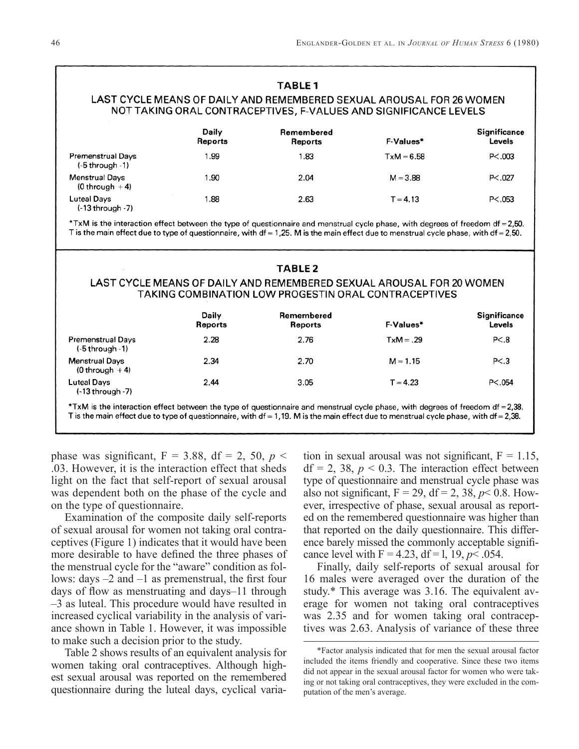|                                                 |                         | <b>TABLE1</b>                                                                                                                                                                                                                                                           |              |                               |
|-------------------------------------------------|-------------------------|-------------------------------------------------------------------------------------------------------------------------------------------------------------------------------------------------------------------------------------------------------------------------|--------------|-------------------------------|
|                                                 |                         | LAST CYCLE MEANS OF DAILY AND REMEMBERED SEXUAL AROUSAL FOR 26 WOMEN<br>NOT TAKING ORAL CONTRACEPTIVES, F-VALUES AND SIGNIFICANCE LEVELS                                                                                                                                |              |                               |
|                                                 | Daily<br><b>Reports</b> | Remembered<br>Reports                                                                                                                                                                                                                                                   | F-Values*    | <b>Significance</b><br>Levels |
| <b>Premenstrual Days</b><br>$(-5$ through $-1)$ | 1.99                    | 1.83                                                                                                                                                                                                                                                                    | $TxM = 6.58$ | P < 0.003                     |
| <b>Menstrual Days</b><br>$(0 throught + 4)$     | 1.90                    | 2.04                                                                                                                                                                                                                                                                    | $M = 3.88$   | P < 0.027                     |
| Luteal Days<br>$(-13$ through $-7)$             | 1.88                    | 2.63                                                                                                                                                                                                                                                                    | $T = 4.13$   | P < 0.053                     |
|                                                 |                         | *TxM is the interaction effect between the type of questionnaire and menstrual cycle phase, with degrees of freedom df = 2,50.<br>T is the main effect due to type of questionnaire, with df = 1,25. M is the main effect due to menstrual cycle phase, with df = 2,50. |              |                               |
|                                                 |                         |                                                                                                                                                                                                                                                                         |              |                               |
|                                                 |                         | <b>TABLE2</b>                                                                                                                                                                                                                                                           |              |                               |
|                                                 |                         | LAST CYCLE MEANS OF DAILY AND REMEMBERED SEXUAL AROUSAL FOR 20 WOMEN<br>TAKING COMBINATION LOW PROGESTIN ORAL CONTRACEPTIVES                                                                                                                                            |              |                               |
|                                                 | Daily<br>Reports        | Remembered<br>Reports                                                                                                                                                                                                                                                   | F-Values*    | Significance<br>Levels        |
| <b>Premenstrual Days</b><br>$(-5$ through $-1)$ | 2.28                    | 2.76                                                                                                                                                                                                                                                                    | $TxM = .29$  | P < .8                        |
| <b>Menstrual Days</b><br>$(0 throuan + 4)$      | 2.34                    | 2.70                                                                                                                                                                                                                                                                    | $M = 1.15$   | P < .3                        |
| <b>Luteal Days</b><br>$(-13$ through $-7)$      | 2.44                    | 3.05                                                                                                                                                                                                                                                                    | $T = 4.23$   | PC.054                        |

phase was significant,  $F = 3.88$ , df = 2, 50,  $p <$ .03. However, it is the interaction effect that sheds light on the fact that self-report of sexual arousal was dependent both on the phase of the cycle and on the type of questionnaire.

Examination of the composite daily self-reports of sexual arousal for women not taking oral contraceptives (Figure 1) indicates that it would have been more desirable to have defined the three phases of the menstrual cycle for the "aware" condition as follows: days  $-2$  and  $-1$  as premenstrual, the first four days of flow as menstruating and days–11 through –3 as luteal. This procedure would have resulted in increased cyclical variability in the analysis of variance shown in Table 1. However, it was impossible to make such a decision prior to the study.

Table 2 shows results of an equivalent analysis for women taking oral contraceptives. Although highest sexual arousal was reported on the remembered questionnaire during the luteal days, cyclical variation in sexual arousal was not significant,  $F = 1.15$ ,  $df = 2$ , 38,  $p < 0.3$ . The interaction effect between type of questionnaire and menstrual cycle phase was also not significant,  $F = 29$ ,  $df = 2$ ,  $38$ ,  $p < 0.8$ . However, irrespective of phase, sexual arousal as reported on the remembered questionnaire was higher than that reported on the daily questionnaire. This difference barely missed the commonly acceptable significance level with  $F = 4.23$ ,  $df = 1$ , 19,  $p < .054$ .

Finally, daily self-reports of sexual arousal for 16 males were averaged over the duration of the study.\* This average was 3.16. The equivalent average for women not taking oral contraceptives was 2.35 and for women taking oral contraceptives was 2.63. Analysis of variance of these three

<sup>\*</sup>Factor analysis indicated that for men the sexual arousal factor included the items friendly and cooperative. Since these two items did not appear in the sexual arousal factor for women who were taking or not taking oral contraceptives, they were excluded in the computation of the men's average.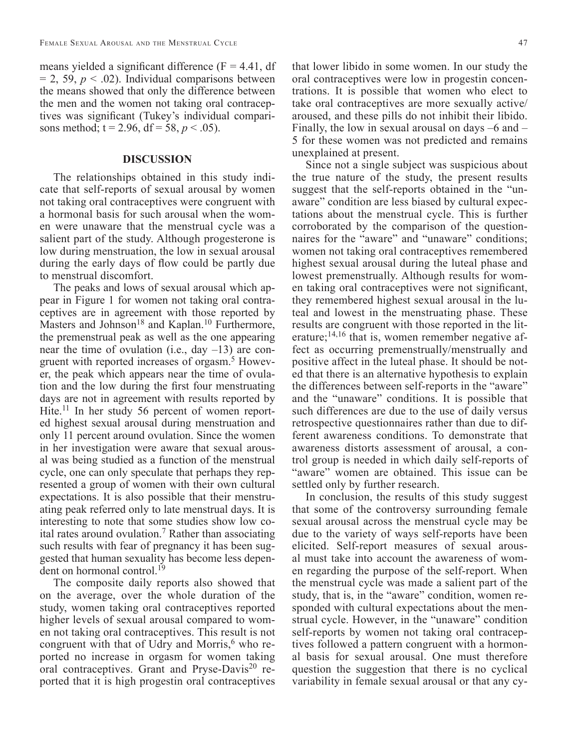means yielded a significant difference  $(F = 4.41, df)$  $= 2, 59, p < .02$ ). Individual comparisons between the means showed that only the difference between the men and the women not taking oral contraceptives was significant (Tukey's individual comparisons method;  $t = 2.96$ ,  $df = 58$ ,  $p < .05$ ).

#### **DISCUSSION**

The relationships obtained in this study indicate that self-reports of sexual arousal by women not taking oral contraceptives were congruent with a hormonal basis for such arousal when the women were unaware that the menstrual cycle was a salient part of the study. Although progesterone is low during menstruation, the low in sexual arousal during the early days of flow could be partly due to menstrual discomfort.

The peaks and lows of sexual arousal which appear in Figure 1 for women not taking oral contraceptives are in agreement with those reported by Masters and Johnson<sup>18</sup> and Kaplan.<sup>10</sup> Furthermore, the premenstrual peak as well as the one appearing near the time of ovulation (i.e., day –13) are congruent with reported increases of orgasm.5 However, the peak which appears near the time of ovulation and the low during the first four menstruating days are not in agreement with results reported by Hite.<sup>11</sup> In her study 56 percent of women reported highest sexual arousal during menstruation and only 11 percent around ovulation. Since the women in her investigation were aware that sexual arousal was being studied as a function of the menstrual cycle, one can only speculate that perhaps they represented a group of women with their own cultural expectations. It is also possible that their menstruating peak referred only to late menstrual days. It is interesting to note that some studies show low coital rates around ovulation.7 Rather than associating such results with fear of pregnancy it has been suggested that human sexuality has become less dependent on hormonal control.<sup>19</sup>

The composite daily reports also showed that on the average, over the whole duration of the study, women taking oral contraceptives reported higher levels of sexual arousal compared to women not taking oral contraceptives. This result is not congruent with that of Udry and Morris, $6$  who reported no increase in orgasm for women taking oral contraceptives. Grant and Pryse-Davis<sup>20</sup> reported that it is high progestin oral contraceptives

that lower libido in some women. In our study the oral contraceptives were low in progestin concentrations. It is possible that women who elect to take oral contraceptives are more sexually active/ aroused, and these pills do not inhibit their libido. Finally, the low in sexual arousal on days –6 and – 5 for these women was not predicted and remains unexplained at present.

Since not a single subject was suspicious about the true nature of the study, the present results suggest that the self-reports obtained in the "unaware" condition are less biased by cultural expectations about the menstrual cycle. This is further corroborated by the comparison of the questionnaires for the "aware" and "unaware" conditions; women not taking oral contraceptives remembered highest sexual arousal during the luteal phase and lowest premenstrually. Although results for women taking oral contraceptives were not significant, they remembered highest sexual arousal in the luteal and lowest in the menstruating phase. These results are congruent with those reported in the literature; $^{14,16}$  that is, women remember negative affect as occurring premenstrually/menstrually and positive affect in the luteal phase. It should be noted that there is an alternative hypothesis to explain the differences between self-reports in the "aware" and the "unaware" conditions. It is possible that such differences are due to the use of daily versus retrospective questionnaires rather than due to different awareness conditions. To demonstrate that awareness distorts assessment of arousal, a control group is needed in which daily self-reports of "aware" women are obtained. This issue can be settled only by further research.

In conclusion, the results of this study suggest that some of the controversy surrounding female sexual arousal across the menstrual cycle may be due to the variety of ways self-reports have been elicited. Self-report measures of sexual arousal must take into account the awareness of women regarding the purpose of the self-report. When the menstrual cycle was made a salient part of the study, that is, in the "aware" condition, women responded with cultural expectations about the menstrual cycle. However, in the "unaware" condition self-reports by women not taking oral contraceptives followed a pattern congruent with a hormonal basis for sexual arousal. One must therefore question the suggestion that there is no cyclical variability in female sexual arousal or that any cy